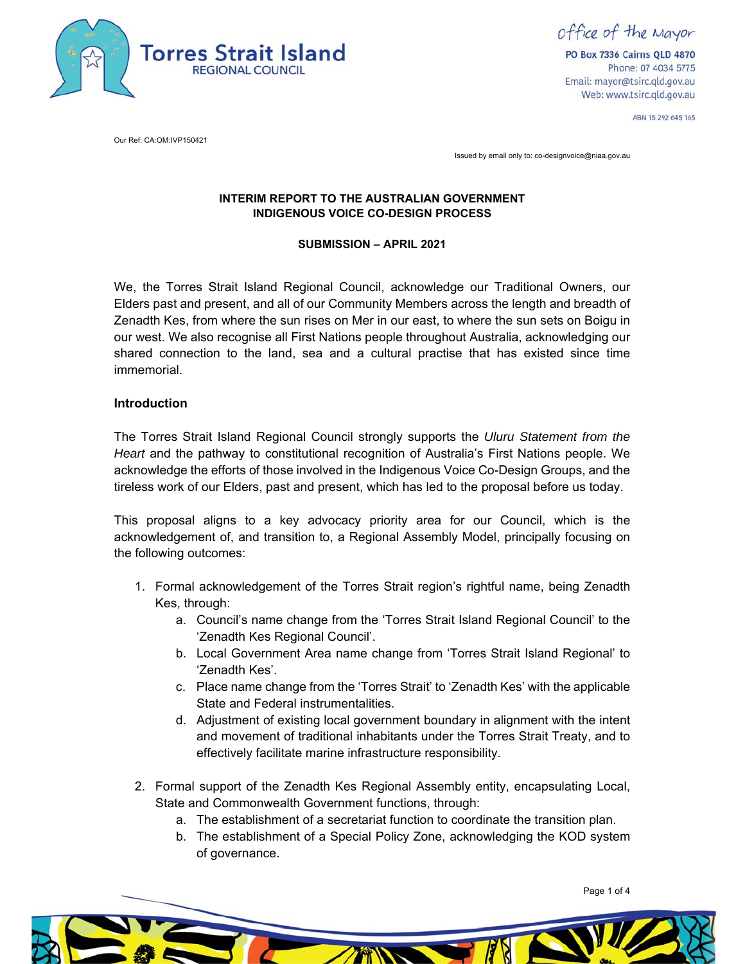

office of the Mayor

PO Box 7336 Cairns QLD 4870 Phone: 07 4034 5775 Email: mayor@tsirc.qld.gov.au Web: www.tsirc.qld.gov.au

ABN 15 292 645 165

Our Ref: CA:OM:IVP150421

Issued by email only to: co-designvoice@niaa.gov.au

### **INTERIM REPORT TO THE AUSTRALIAN GOVERNMENT INDIGENOUS VOICE CO-DESIGN PROCESS**

#### **SUBMISSION – APRIL 2021**

 shared connection to the land, sea and a cultural practise that has existed since time We, the Torres Strait Island Regional Council, acknowledge our Traditional Owners, our Elders past and present, and all of our Community Members across the length and breadth of Zenadth Kes, from where the sun rises on Mer in our east, to where the sun sets on Boigu in our west. We also recognise all First Nations people throughout Australia, acknowledging our immemorial.

### **Introduction**

 *Heart* and the pathway to constitutional recognition of Australia's First Nations people. We The Torres Strait Island Regional Council strongly supports the *Uluru Statement from the*  acknowledge the efforts of those involved in the Indigenous Voice Co-Design Groups, and the tireless work of our Elders, past and present, which has led to the proposal before us today.

 This proposal aligns to a key advocacy priority area for our Council, which is the acknowledgement of, and transition to, a Regional Assembly Model, principally focusing on the following outcomes:

- 1. Formal acknowledgement of the Torres Strait region's rightful name, being Zenadth Kes, through:
	- a. Council's name change from the 'Torres Strait Island Regional Council' to the 'Zenadth Kes Regional Council'.
	- b. Local Government Area name change from 'Torres Strait Island Regional' to 'Zenadth Kes'.
	- c. Place name change from the 'Torres Strait' to 'Zenadth Kes' with the applicable State and Federal instrumentalities.
	- d. Adjustment of existing local government boundary in alignment with the intent and movement of traditional inhabitants under the Torres Strait Treaty, and to effectively facilitate marine infrastructure responsibility.
- 2. Formal support of the Zenadth Kes Regional Assembly entity, encapsulating Local, State and Commonwealth Government functions, through:
	- a. The establishment of a secretariat function to coordinate the transition plan.
	- b. The establishment of a Special Policy Zone, acknowledging the KOD system of governance.

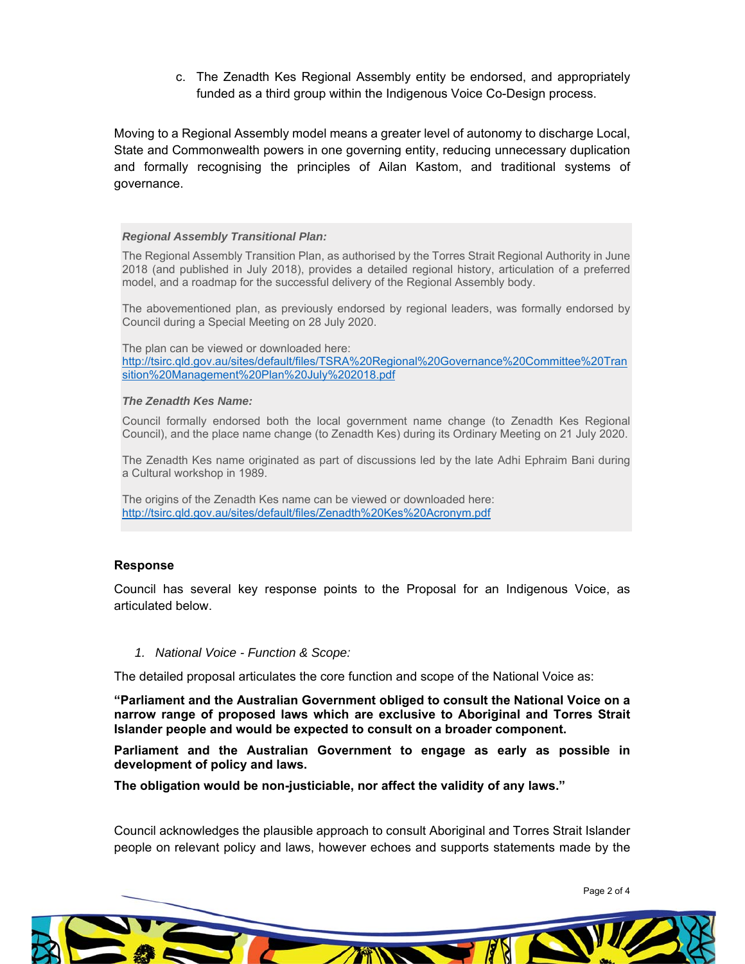c. The Zenadth Kes Regional Assembly entity be endorsed, and appropriately funded as a third group within the Indigenous Voice Co-Design process.

Moving to a Regional Assembly model means a greater level of autonomy to discharge Local, State and Commonwealth powers in one governing entity, reducing unnecessary duplication and formally recognising the principles of Ailan Kastom, and traditional systems of governance.

#### *Regional Assembly Transitional Plan:*

 The Regional Assembly Transition Plan, as authorised by the Torres Strait Regional Authority in June 2018 (and published in July 2018), provides a detailed regional history, articulation of a preferred model, and a roadmap for the successful delivery of the Regional Assembly body.

 The abovementioned plan, as previously endorsed by regional leaders, was formally endorsed by Council during a Special Meeting on 28 July 2020.

 The plan can be viewed or downloaded here: sition%20Management%20Plan%20July%202018.pdf http://tsirc.qld.gov.au/sites/default/files/TSRA%20Regional%20Governance%20Committee%20Tran

#### *The Zenadth Kes Name:*

 Council formally endorsed both the local government name change (to Zenadth Kes Regional Council), and the place name change (to Zenadth Kes) during its Ordinary Meeting on 21 July 2020.

 The Zenadth Kes name originated as part of discussions led by the late Adhi Ephraim Bani during a Cultural workshop in 1989.

 The origins of the Zenadth Kes name can be viewed or downloaded here: http://tsirc.qld.gov.au/sites/default/files/Zenadth%20Kes%20Acronym.pdf

#### **Response**

Council has several key response points to the Proposal for an Indigenous Voice, as articulated below.

#### *1. National Voice - Function & Scope:*

The detailed proposal articulates the core function and scope of the National Voice as:

 **"Parliament and the Australian Government obliged to consult the National Voice on a narrow range of proposed laws which are exclusive to Aboriginal and Torres Strait Islander people and would be expected to consult on a broader component.** 

**Parliament and the Australian Government to engage as early as possible in development of policy and laws.** 

**The obligation would be non-justiciable, nor affect the validity of any laws."** 

 Council acknowledges the plausible approach to consult Aboriginal and Torres Strait Islander people on relevant policy and laws, however echoes and supports statements made by the

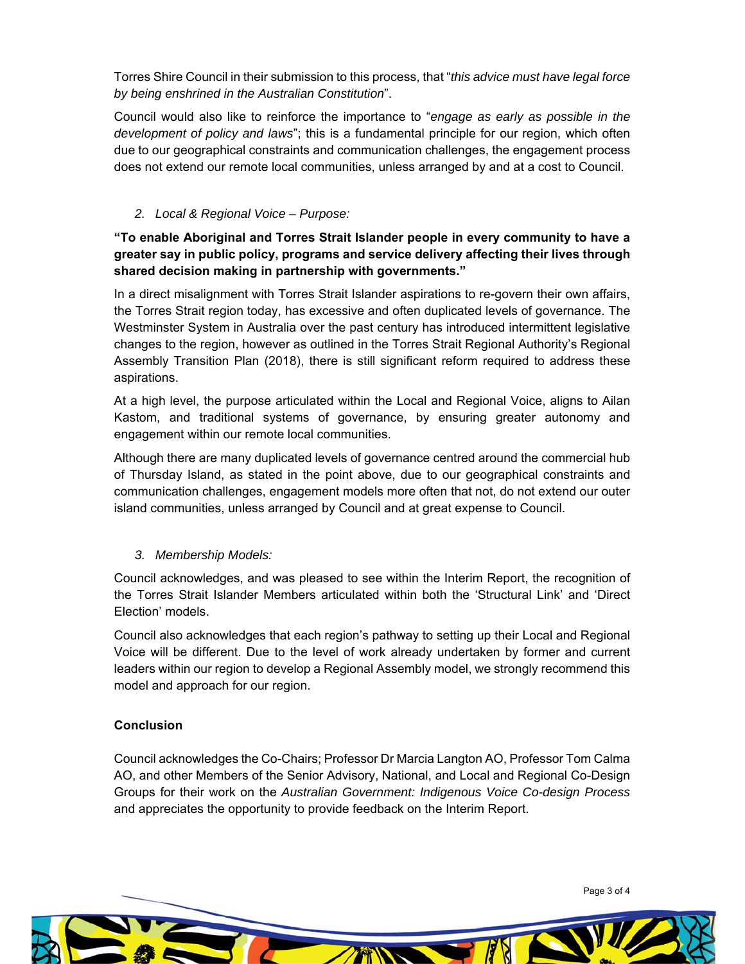Torres Shire Council in their submission to this process, that "*this advice must have legal force by being enshrined in the Australian Constitution*".

 *development of policy and laws*"; this is a fundamental principle for our region, which often Council would also like to reinforce the importance to "*engage as early as possible in the*  due to our geographical constraints and communication challenges, the engagement process does not extend our remote local communities, unless arranged by and at a cost to Council.

# *2. Local & Regional Voice – Purpose:*

# **"To enable Aboriginal and Torres Strait Islander people in every community to have a greater say in public policy, programs and service delivery affecting their lives through shared decision making in partnership with governments."**

In a direct misalignment with Torres Strait Islander aspirations to re-govern their own affairs, the Torres Strait region today, has excessive and often duplicated levels of governance. The Westminster System in Australia over the past century has introduced intermittent legislative changes to the region, however as outlined in the Torres Strait Regional Authority's Regional Assembly Transition Plan (2018), there is still significant reform required to address these aspirations.

 At a high level, the purpose articulated within the Local and Regional Voice, aligns to Ailan Kastom, and traditional systems of governance, by ensuring greater autonomy and engagement within our remote local communities.

Although there are many duplicated levels of governance centred around the commercial hub of Thursday Island, as stated in the point above, due to our geographical constraints and communication challenges, engagement models more often that not, do not extend our outer island communities, unless arranged by Council and at great expense to Council.

## *3. Membership Models:*

 Council acknowledges, and was pleased to see within the Interim Report, the recognition of the Torres Strait Islander Members articulated within both the 'Structural Link' and 'Direct Election' models.

Council also acknowledges that each region's pathway to setting up their Local and Regional Voice will be different. Due to the level of work already undertaken by former and current leaders within our region to develop a Regional Assembly model, we strongly recommend this model and approach for our region.

## **Conclusion**

 Council acknowledges the Co-Chairs; Professor Dr Marcia Langton AO, Professor Tom Calma AO, and other Members of the Senior Advisory, National, and Local and Regional Co-Design Groups for their work on the *Australian Government: Indigenous Voice Co-design Process*  and appreciates the opportunity to provide feedback on the Interim Report.